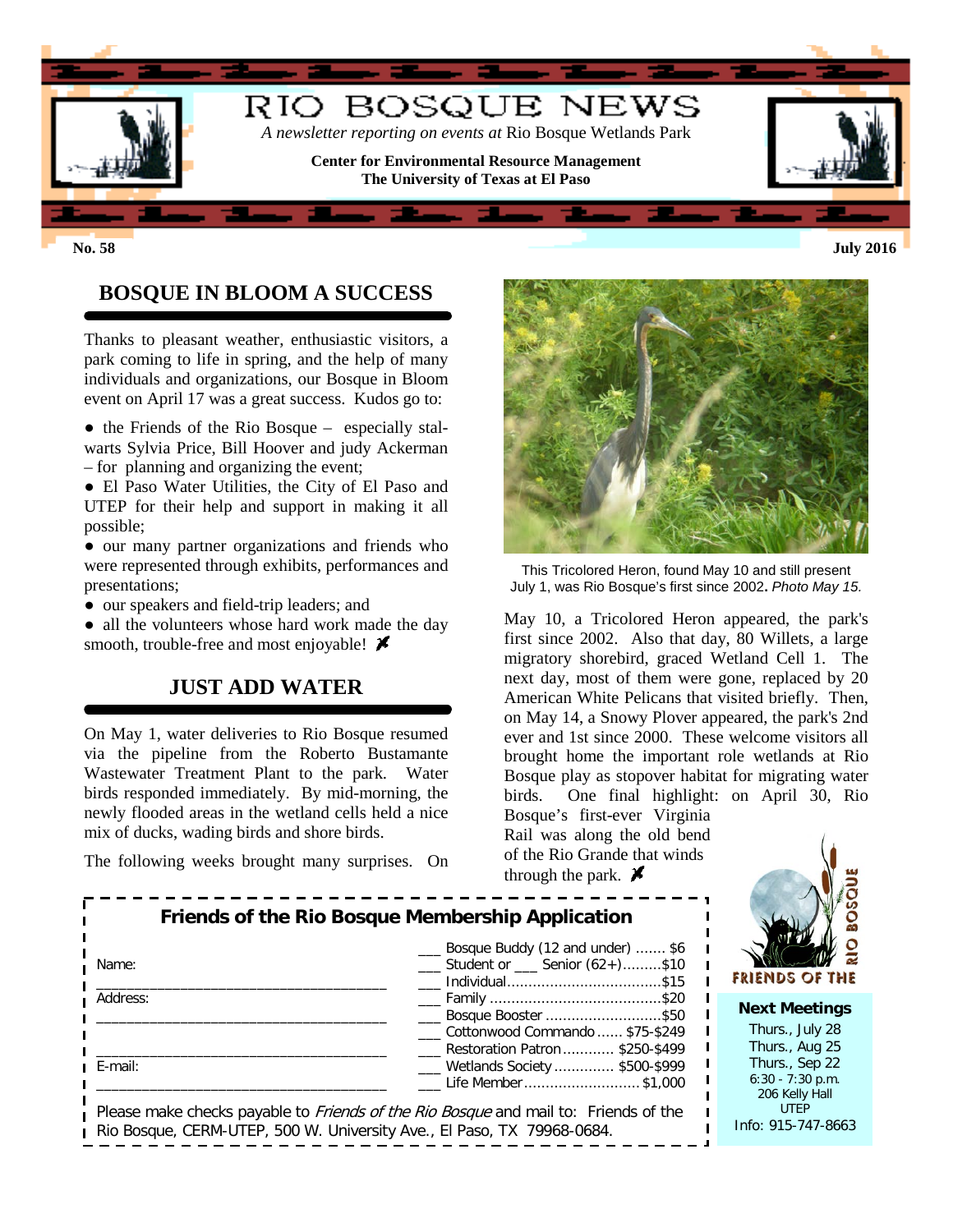

**No. 58 July 2016**

# **BOSQUE IN BLOOM A SUCCESS**

Thanks to pleasant weather, enthusiastic visitors, a park coming to life in spring, and the help of many individuals and organizations, our Bosque in Bloom event on April 17 was a great success. Kudos go to:

• the Friends of the Rio Bosque – especially stalwarts Sylvia Price, Bill Hoover and judy Ackerman – for planning and organizing the event;

● El Paso Water Utilities, the City of El Paso and UTEP for their help and support in making it all possible;

● our many partner organizations and friends who were represented through exhibits, performances and presentations;

● our speakers and field-trip leaders; and

• all the volunteers whose hard work made the day smooth, trouble-free and most enjoyable!  $\cancel{\blacktriangleright}$ 

#### **JUST ADD WATER**

On May 1, water deliveries to Rio Bosque resumed via the pipeline from the Roberto Bustamante Wastewater Treatment Plant to the park. Water birds responded immediately. By mid-morning, the newly flooded areas in the wetland cells held a nice mix of ducks, wading birds and shore birds.

The following weeks brought many surprises. On



This Tricolored Heron, found May 10 and still present July 1, was Rio Bosque's first since 2002**.** *Photo May 15.*

May 10, a Tricolored Heron appeared, the park's first since 2002. Also that day, 80 Willets, a large migratory shorebird, graced Wetland Cell 1. The next day, most of them were gone, replaced by 20 American White Pelicans that visited briefly. Then, on May 14, a Snowy Plover appeared, the park's 2nd ever and 1st since 2000. These welcome visitors all brought home the important role wetlands at Rio Bosque play as stopover habitat for migrating water birds. One final highlight: on April 30, Rio Bosque's first-ever Virginia

Rail was along the old bend of the Rio Grande that winds through the park.  $\cancel{\blacktriangleright}$ 



FRIENDS OF THE **Next Meetings** Thurs., July 28 Thurs., Aug 25

Thurs., Sep 22 6:30 - 7:30 p.m. 206 Kelly Hall UTEP Info: 915-747-8663

|  |  | The following weeks brought many surprises. On |  |
|--|--|------------------------------------------------|--|
|  |  |                                                |  |

|          | Bosque Buddy (12 and under)  \$6                        |
|----------|---------------------------------------------------------|
| Name:    | $\frac{1}{2}$ Student or $\frac{1}{2}$ Senior (62+)\$10 |
|          |                                                         |
| Address: | <u>____</u> Family ………………………………………\$20                  |
|          | ___ Bosque Booster \$50                                 |
|          | Cottonwood Commando  \$75-\$249                         |
|          | ___ Restoration Patron  \$250-\$499                     |
| E-mail:  | ___ Wetlands Society  \$500-\$999                       |
|          | Life Member \$1,000                                     |